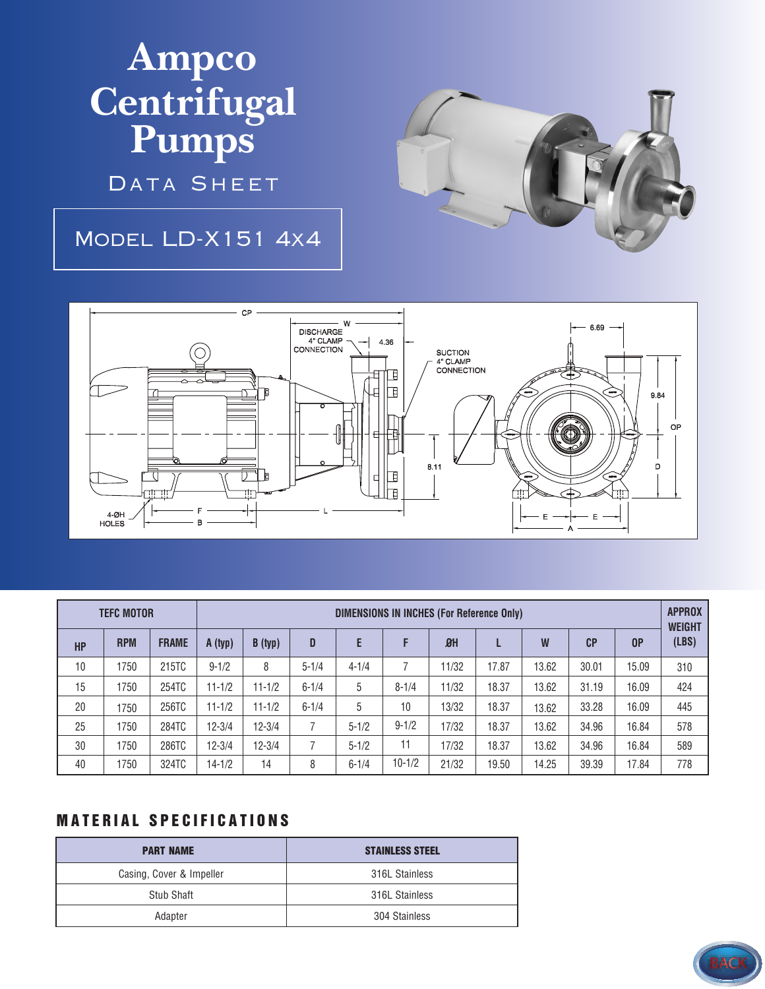## **Ampco Centrifugal Pumps**

DATA SHEET

## Model LD-X151 4x4





| <b>TEFC MOTOR</b> |            |              | DIMENSIONS IN INCHES (For Reference Only) |            |           |           |            |       |       |       |       |       | <b>APPROX</b><br><b>WEIGHT</b> |
|-------------------|------------|--------------|-------------------------------------------|------------|-----------|-----------|------------|-------|-------|-------|-------|-------|--------------------------------|
| <b>HP</b>         | <b>RPM</b> | <b>FRAME</b> | A (typ)                                   | B (typ)    | D         | E         | F          | $B$ H |       | W     | CP    | 0P    | (LBS)                          |
| 10                | 1750       | 215TC        | $9 - 1/2$                                 | 8          | $5 - 1/4$ | $4 - 1/4$ |            | 11/32 | 17.87 | 13.62 | 30.01 | 15.09 | 310                            |
| 15                | 1750       | 254TC        | $11 - 1/2$                                | $11 - 1/2$ | $6 - 1/4$ | 5         | $8 - 1/4$  | 11/32 | 18.37 | 13.62 | 31.19 | 16.09 | 424                            |
| 20                | 1750       | 256TC        | $11 - 1/2$                                | $11 - 1/2$ | $6 - 1/4$ | 5         | 10         | 13/32 | 18.37 | 13.62 | 33.28 | 16.09 | 445                            |
| 25                | 1750       | 284TC        | $12 - 3/4$                                | $12 - 3/4$ |           | $5 - 1/2$ | $9 - 1/2$  | 17/32 | 18.37 | 13.62 | 34.96 | 16.84 | 578                            |
| 30                | 1750       | 286TC        | $12 - 3/4$                                | $12 - 3/4$ |           | $5 - 1/2$ | 11         | 17/32 | 18.37 | 13.62 | 34.96 | 16.84 | 589                            |
| 40                | 1750       | 324TC        | $14 - 1/2$                                | 14         | 8         | $6 - 1/4$ | $10 - 1/2$ | 21/32 | 19.50 | 14.25 | 39.39 | 17.84 | 778                            |

## **MATERIAL SPECIFICATIONS**

| <b>PART NAME</b>         | <b>STAINLESS STEEL</b> |
|--------------------------|------------------------|
| Casing, Cover & Impeller | 316L Stainless         |
| Stub Shaft               | 316L Stainless         |
| Adapter                  | 304 Stainless          |